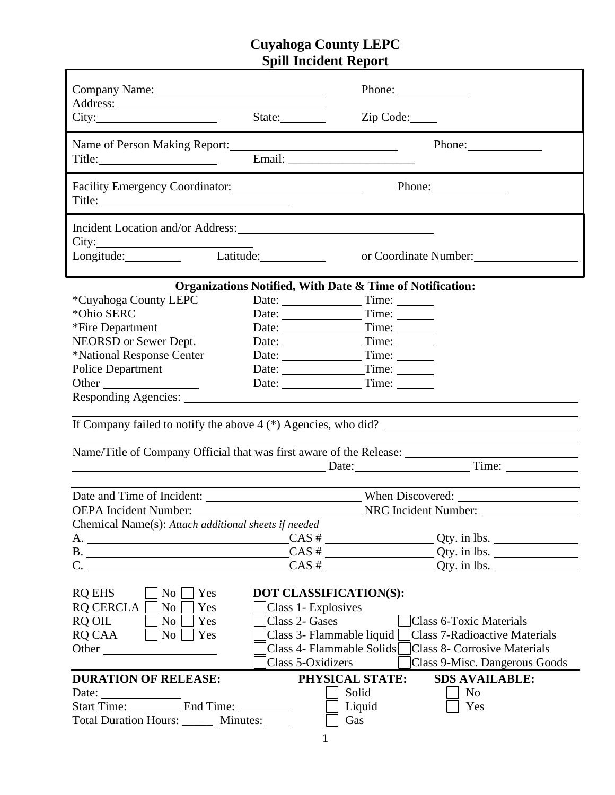## **Cuyahoga County LEPC Spill Incident Report**

| Address: <u>and the set of the set of the set of the set of the set of the set of the set of the set of the set of the set of the set of the set of the set of the set of the set of the set of the set of the set of the set of</u><br>City:                                                                                                                                         | State:                                                                               | Phone:<br>Zip Code:                                                                                                                                                                  |  |
|---------------------------------------------------------------------------------------------------------------------------------------------------------------------------------------------------------------------------------------------------------------------------------------------------------------------------------------------------------------------------------------|--------------------------------------------------------------------------------------|--------------------------------------------------------------------------------------------------------------------------------------------------------------------------------------|--|
|                                                                                                                                                                                                                                                                                                                                                                                       |                                                                                      | Phone:                                                                                                                                                                               |  |
| Facility Emergency Coordinator: 2008. [2016]                                                                                                                                                                                                                                                                                                                                          |                                                                                      | Phone: 2008                                                                                                                                                                          |  |
| Incident Location and/or Address:<br>City:                                                                                                                                                                                                                                                                                                                                            | Latitude:                                                                            |                                                                                                                                                                                      |  |
| Longitude:                                                                                                                                                                                                                                                                                                                                                                            |                                                                                      | or Coordinate Number:                                                                                                                                                                |  |
|                                                                                                                                                                                                                                                                                                                                                                                       |                                                                                      | Organizations Notified, With Date & Time of Notification:                                                                                                                            |  |
| *Cuyahoga County LEPC                                                                                                                                                                                                                                                                                                                                                                 | Date: Time:                                                                          |                                                                                                                                                                                      |  |
| *Ohio SERC                                                                                                                                                                                                                                                                                                                                                                            | Date: Time:                                                                          |                                                                                                                                                                                      |  |
| *Fire Department                                                                                                                                                                                                                                                                                                                                                                      |                                                                                      |                                                                                                                                                                                      |  |
| NEORSD or Sewer Dept.                                                                                                                                                                                                                                                                                                                                                                 | Date: Time:                                                                          |                                                                                                                                                                                      |  |
| *National Response Center                                                                                                                                                                                                                                                                                                                                                             | Date: Time:                                                                          |                                                                                                                                                                                      |  |
| <b>Police Department</b>                                                                                                                                                                                                                                                                                                                                                              | Date: Time:                                                                          |                                                                                                                                                                                      |  |
| Other                                                                                                                                                                                                                                                                                                                                                                                 |                                                                                      |                                                                                                                                                                                      |  |
| Responding Agencies:                                                                                                                                                                                                                                                                                                                                                                  |                                                                                      |                                                                                                                                                                                      |  |
|                                                                                                                                                                                                                                                                                                                                                                                       |                                                                                      |                                                                                                                                                                                      |  |
| If Company failed to notify the above $4$ (*) Agencies, who did?                                                                                                                                                                                                                                                                                                                      |                                                                                      |                                                                                                                                                                                      |  |
|                                                                                                                                                                                                                                                                                                                                                                                       |                                                                                      |                                                                                                                                                                                      |  |
| Date: Time: Time:                                                                                                                                                                                                                                                                                                                                                                     |                                                                                      |                                                                                                                                                                                      |  |
|                                                                                                                                                                                                                                                                                                                                                                                       |                                                                                      |                                                                                                                                                                                      |  |
|                                                                                                                                                                                                                                                                                                                                                                                       |                                                                                      |                                                                                                                                                                                      |  |
| OEPA Incident Number: NRC Incident Number:                                                                                                                                                                                                                                                                                                                                            |                                                                                      |                                                                                                                                                                                      |  |
| Chemical Name(s): Attach additional sheets if needed                                                                                                                                                                                                                                                                                                                                  |                                                                                      |                                                                                                                                                                                      |  |
| A. $\qquad \qquad \qquad \qquad \qquad \qquad \qquad \qquad \qquad \qquad \qquad \text{CAS} \# \qquad \qquad \qquad \qquad \qquad \qquad \text{Qty. in lbs.}$                                                                                                                                                                                                                         |                                                                                      |                                                                                                                                                                                      |  |
| B.                                                                                                                                                                                                                                                                                                                                                                                    |                                                                                      | $\overline{CAS}$ # $\overline{\phantom{a}}$ $\overline{Q}$ ty. in lbs.                                                                                                               |  |
| $C.$ $\qquad \qquad$                                                                                                                                                                                                                                                                                                                                                                  |                                                                                      | $CAS #$ Qty. in lbs.                                                                                                                                                                 |  |
| <b>RQ EHS</b><br>$\overline{N_{0}}$<br>Yes<br><b>RQ CERCLA</b><br>Yes<br>No.<br>RQ OIL<br>No<br>Yes<br>RQ CAA<br>$\vert$   No $\vert$<br>  Yes<br><b>Other</b> control of the control of the control of the control of the control of the control of the control of the control of the control of the control of the control of the control of the control of the control of the cont | DOT CLASSIFICATION(S):<br>Class 1- Explosives<br>Class 2- Gases<br>Class 5-Oxidizers | <b>Class 6-Toxic Materials</b><br>Class 3- Flammable liquid Class 7-Radioactive Materials<br>Class 4- Flammable Solids Class 8- Corrosive Materials<br>Class 9-Misc. Dangerous Goods |  |
| <b>DURATION OF RELEASE:</b>                                                                                                                                                                                                                                                                                                                                                           | PHYSICAL STATE:                                                                      | <b>SDS AVAILABLE:</b>                                                                                                                                                                |  |
| Date: $\frac{1}{\sqrt{1-\frac{1}{2}} \cdot \frac{1}{2}}$                                                                                                                                                                                                                                                                                                                              | Solid                                                                                | N <sub>0</sub>                                                                                                                                                                       |  |
| Start Time: _____________ End Time: ___________                                                                                                                                                                                                                                                                                                                                       |                                                                                      | Liquid<br>Yes                                                                                                                                                                        |  |
| Total Duration Hours: ______ Minutes: ____                                                                                                                                                                                                                                                                                                                                            | Gas                                                                                  |                                                                                                                                                                                      |  |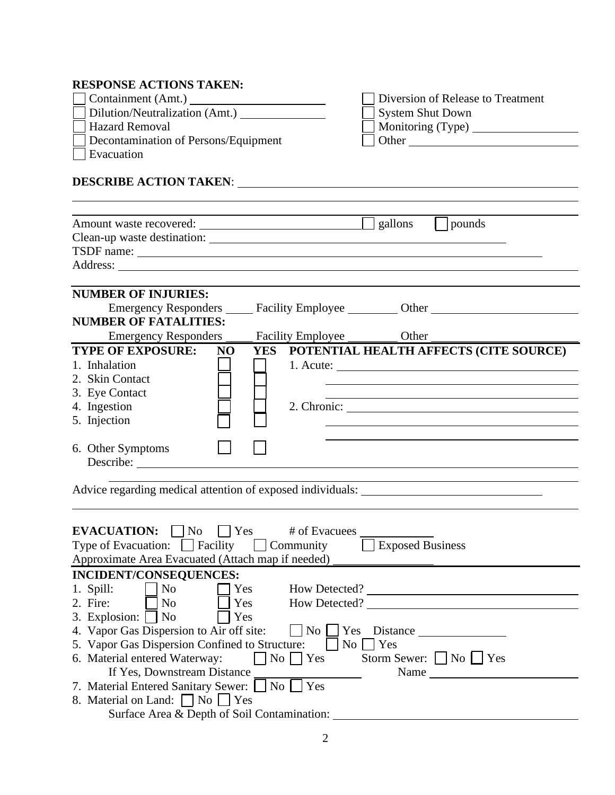## **RESPONSE ACTIONS TAKEN:**

| $\Box$ Containment (Amt.) $\Box$     | Diversion of Release to Treatment |
|--------------------------------------|-----------------------------------|
| Dilution/Neutralization (Amt.)       | System Shut Down                  |
| <b>Hazard Removal</b>                | Monitoring (Type)                 |
| Decontamination of Persons/Equipment | . Other                           |
| Evacuation                           |                                   |

# **DESCRIBE ACTION TAKEN**:

|                                                       | gallons<br>pounds                                                                                                                                                                                                              |
|-------------------------------------------------------|--------------------------------------------------------------------------------------------------------------------------------------------------------------------------------------------------------------------------------|
|                                                       |                                                                                                                                                                                                                                |
|                                                       | TSDF name:                                                                                                                                                                                                                     |
|                                                       |                                                                                                                                                                                                                                |
|                                                       |                                                                                                                                                                                                                                |
| <b>NUMBER OF INJURIES:</b>                            |                                                                                                                                                                                                                                |
|                                                       | Emergency Responders ______ Facility Employee __________ Other __________________                                                                                                                                              |
| <b>NUMBER OF FATALITIES:</b>                          |                                                                                                                                                                                                                                |
|                                                       | Emergency Responders ______ Facility Employee __________ Other                                                                                                                                                                 |
| <b>TYPE OF EXPOSURE:</b><br>NO                        | YES POTENTIAL HEALTH AFFECTS (CITE SOURCE)                                                                                                                                                                                     |
| 1. Inhalation                                         | $1.$ Acute: $\qquad \qquad$                                                                                                                                                                                                    |
| 2. Skin Contact                                       |                                                                                                                                                                                                                                |
| 3. Eye Contact                                        |                                                                                                                                                                                                                                |
| 4. Ingestion                                          |                                                                                                                                                                                                                                |
| 5. Injection                                          |                                                                                                                                                                                                                                |
| 6. Other Symptoms                                     |                                                                                                                                                                                                                                |
|                                                       |                                                                                                                                                                                                                                |
|                                                       |                                                                                                                                                                                                                                |
|                                                       |                                                                                                                                                                                                                                |
|                                                       |                                                                                                                                                                                                                                |
|                                                       |                                                                                                                                                                                                                                |
| <b>EVACUATION:</b> $\Box$ No $\Box$ Yes # of Evacuees |                                                                                                                                                                                                                                |
|                                                       | Type of Evacuation: $\Box$ Facility $\Box$ Community $\Box$ Exposed Business                                                                                                                                                   |
|                                                       | Approximate Area Evacuated (Attach map if needed) _______________________________                                                                                                                                              |
| INCIDENT/CONSEQUENCES:                                |                                                                                                                                                                                                                                |
|                                                       | 1. Spill: No Tyes How Detected?                                                                                                                                                                                                |
|                                                       | 2. Fire: $\Box$ No $\Box$ Yes How Detected? $\Box$                                                                                                                                                                             |
| 3. Explosion: $\Box$ No $\Box$ Yes                    |                                                                                                                                                                                                                                |
|                                                       | 4. Vapor Gas Dispersion to Air off site: $\Box$ No $\Box$ Yes Distance $\Box$                                                                                                                                                  |
|                                                       | 5. Vapor Gas Dispersion Confined to Structure: No Structure                                                                                                                                                                    |
| 6. Material entered Waterway:                         | $\Box$ No $\Box$ Yes Storm Sewer: $\Box$ No $\Box$ Yes                                                                                                                                                                         |
|                                                       | Name experience and the second services of the services of the services of the services of the services of the services of the services of the services of the services of the services of the services of the services of the |
| 7. Material Entered Sanitary Sewer: No TYes           |                                                                                                                                                                                                                                |
| 8. Material on Land: No Yes                           |                                                                                                                                                                                                                                |
|                                                       | Surface Area & Depth of Soil Contamination:                                                                                                                                                                                    |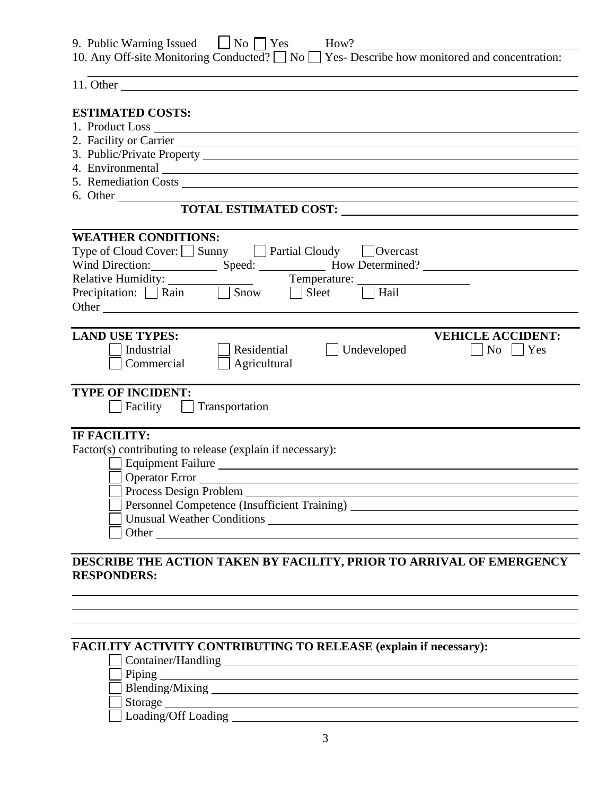| 9. Public Warning Issued $\Box$ No $\Box$ Yes | How?                                                                                                   |
|-----------------------------------------------|--------------------------------------------------------------------------------------------------------|
|                                               | 10. Any Off-site Monitoring Conducted? $\Box$ No $\Box$ Yes- Describe how monitored and concentration: |

<u> 1989 - Johann Barbara, martxa alemaniar a</u>

<u> 1980 - Johann Barn, fransk politik (f. 1980)</u>

11. Other

#### **ESTIMATED COSTS:**

- 1. Product Loss
- 2. Facility or Carrier
- 3. Public/Private Property
- 4. Environmental
- 5. Remediation Costs
- 6. Other

#### **TOTAL ESTIMATED COST:**

| <b>WEATHER CONDITIONS:</b>                                                                                          |  |  |  |  |
|---------------------------------------------------------------------------------------------------------------------|--|--|--|--|
| Type of Cloud Cover: Sunny Fartial Cloudy Dvercast                                                                  |  |  |  |  |
| Wind Direction: Speed: ____________ How Determined? ____________________________                                    |  |  |  |  |
|                                                                                                                     |  |  |  |  |
| Relative Humidity: Temperature: Temperature: $\Box$ Precipitation: $\Box$ Rain $\Box$ Show $\Box$ Sleet $\Box$ Hail |  |  |  |  |
|                                                                                                                     |  |  |  |  |
|                                                                                                                     |  |  |  |  |
| <b>LAND USE TYPES:</b><br><b>VEHICLE ACCIDENT:</b>                                                                  |  |  |  |  |
| Undeveloped<br>Industrial<br>Residential<br>Yes<br>$\vert$ $\vert$ No                                               |  |  |  |  |
| Commercial<br>Agricultural                                                                                          |  |  |  |  |
|                                                                                                                     |  |  |  |  |
| <b>TYPE OF INCIDENT:</b>                                                                                            |  |  |  |  |
| Facility   Transportation                                                                                           |  |  |  |  |
|                                                                                                                     |  |  |  |  |
| IF FACILITY:                                                                                                        |  |  |  |  |
| Factor(s) contributing to release (explain if necessary):                                                           |  |  |  |  |
| Equipment Failure                                                                                                   |  |  |  |  |
| Operator Error                                                                                                      |  |  |  |  |
| Process Design Problem                                                                                              |  |  |  |  |
| Personnel Competence (Insufficient Training) ___________________________________                                    |  |  |  |  |
|                                                                                                                     |  |  |  |  |
|                                                                                                                     |  |  |  |  |
|                                                                                                                     |  |  |  |  |

#### **DESCRIBE THE ACTION TAKEN BY FACILITY, PRIOR TO ARRIVAL OF EMERGENCY RESPONDERS:**

#### **FACILITY ACTIVITY CONTRIBUTING TO RELEASE (explain if necessary):**

Container/Handling

Piping

Blending/Mixing

Storage Storage Storage Storage Storage Storage Storage Storage Storage Storage Storage Storage Storage Storage Storage Storage Storage Storage Storage Storage Storage Storage Storage Storage Storage Storage Storage Storag

 $\Box$  Loading/Off Loading  $\Box$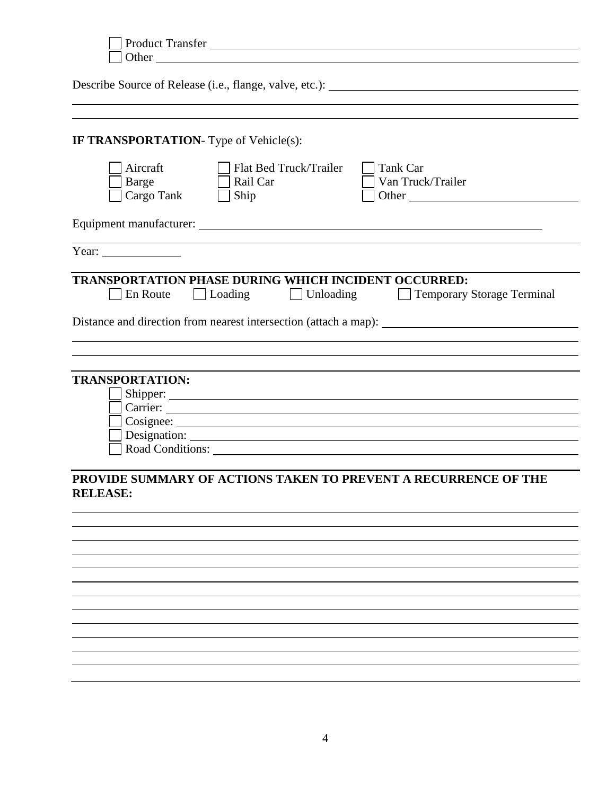| Product Transfer                                                                                                               |
|--------------------------------------------------------------------------------------------------------------------------------|
|                                                                                                                                |
|                                                                                                                                |
|                                                                                                                                |
| <b>IF TRANSPORTATION-</b> Type of Vehicle(s):                                                                                  |
| Aircraft<br>Flat Bed Truck/Trailer<br>Tank Car<br>Van Truck/Trailer<br>Rail Car<br><b>Barge</b><br>Cargo Tank<br>Ship<br>Other |
|                                                                                                                                |
| Year: $\frac{1}{\sqrt{1-\frac{1}{2}} \cdot \frac{1}{2}}$                                                                       |
| <b>TRANSPORTATION PHASE DURING WHICH INCIDENT OCCURRED:</b><br>Unloading Temporary Storage Terminal<br>En Route<br>Loading     |
|                                                                                                                                |
|                                                                                                                                |
| <b>TRANSPORTATION:</b>                                                                                                         |
|                                                                                                                                |
| Carrier: <u>Carrier:</u> Carrier: 2007                                                                                         |
|                                                                                                                                |
|                                                                                                                                |
|                                                                                                                                |
| PROVIDE SUMMARY OF ACTIONS TAKEN TO PREVENT A RECURRENCE OF THE<br><b>RELEASE:</b>                                             |
|                                                                                                                                |
|                                                                                                                                |
|                                                                                                                                |
|                                                                                                                                |
|                                                                                                                                |
|                                                                                                                                |
|                                                                                                                                |
|                                                                                                                                |
|                                                                                                                                |
|                                                                                                                                |